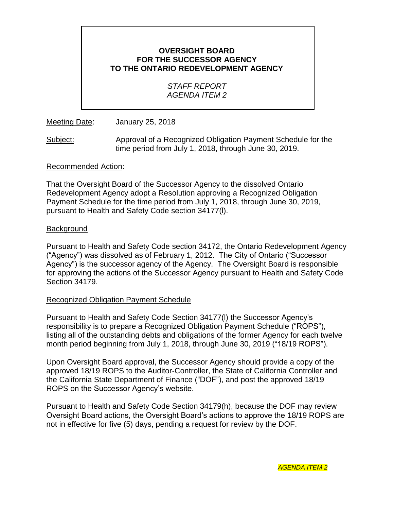## **OVERSIGHT BOARD FOR THE SUCCESSOR AGENCY TO THE ONTARIO REDEVELOPMENT AGENCY**

## *STAFF REPORT AGENDA ITEM 2*

Meeting Date: January 25, 2018

Subject: Approval of a Recognized Obligation Payment Schedule for the time period from July 1, 2018, through June 30, 2019.

#### Recommended Action:

That the Oversight Board of the Successor Agency to the dissolved Ontario Redevelopment Agency adopt a Resolution approving a Recognized Obligation Payment Schedule for the time period from July 1, 2018, through June 30, 2019, pursuant to Health and Safety Code section 34177(l).

#### Background

Pursuant to Health and Safety Code section 34172, the Ontario Redevelopment Agency ("Agency") was dissolved as of February 1, 2012. The City of Ontario ("Successor Agency") is the successor agency of the Agency. The Oversight Board is responsible for approving the actions of the Successor Agency pursuant to Health and Safety Code Section 34179.

## Recognized Obligation Payment Schedule

Pursuant to Health and Safety Code Section 34177(l) the Successor Agency's responsibility is to prepare a Recognized Obligation Payment Schedule ("ROPS"), listing all of the outstanding debts and obligations of the former Agency for each twelve month period beginning from July 1, 2018, through June 30, 2019 ("18/19 ROPS").

Upon Oversight Board approval, the Successor Agency should provide a copy of the approved 18/19 ROPS to the Auditor-Controller, the State of California Controller and the California State Department of Finance ("DOF"), and post the approved 18/19 ROPS on the Successor Agency's website.

Pursuant to Health and Safety Code Section 34179(h), because the DOF may review Oversight Board actions, the Oversight Board's actions to approve the 18/19 ROPS are not in effective for five (5) days, pending a request for review by the DOF.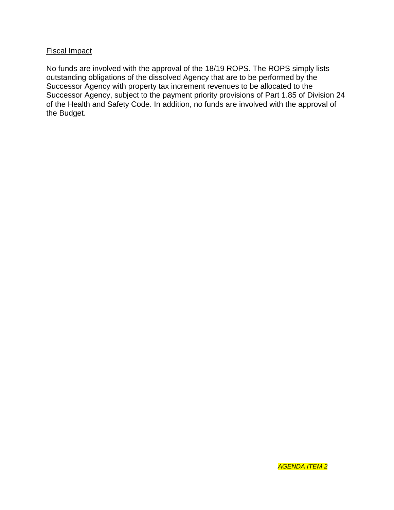## Fiscal Impact

No funds are involved with the approval of the 18/19 ROPS. The ROPS simply lists outstanding obligations of the dissolved Agency that are to be performed by the Successor Agency with property tax increment revenues to be allocated to the Successor Agency, subject to the payment priority provisions of Part 1.85 of Division 24 of the Health and Safety Code. In addition, no funds are involved with the approval of the Budget.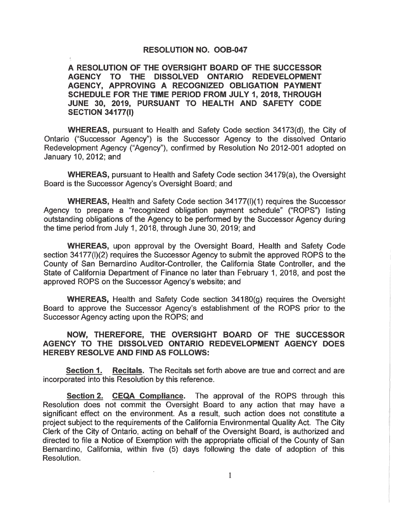#### **RESOLUTION NO. OOB-047**

A RESOLUTION OF THE OVERSIGHT BOARD OF THE SUCCESSOR AGENCY TO THE DISSOLVED ONTARIO REDEVELOPMENT AGENCY, APPROVING A RECOGNIZED OBLIGATION PAYMENT SCHEDULE FOR THE TIME PERIOD FROM JULY 1, 2018, THROUGH JUNE 30, 2019, PURSUANT TO HEALTH AND SAFETY CODE **SECTION 34177(I)** 

**WHEREAS, pursuant to Health and Safety Code section 34173(d), the City of** Ontario ("Successor Agency") is the Successor Agency to the dissolved Ontario Redevelopment Agency ("Agency"), confirmed by Resolution No 2012-001 adopted on January 10, 2012; and

**WHEREAS, pursuant to Health and Safety Code section 34179(a), the Oversight** Board is the Successor Agency's Oversight Board; and

**WHEREAS, Health and Safety Code section 34177(I)(1) requires the Successor** Agency to prepare a "recognized obligation payment schedule" ("ROPS") listing outstanding obligations of the Agency to be performed by the Successor Agency during the time period from July 1, 2018, through June 30, 2019; and

**WHEREAS, upon approval by the Oversight Board. Health and Safety Code** section 34177(I)(2) requires the Successor Agency to submit the approved ROPS to the County of San Bernardino Auditor-Controller, the California State Controller, and the State of California Department of Finance no later than February 1, 2018, and post the approved ROPS on the Successor Agency's website; and

WHEREAS, Health and Safety Code section 34180(g) requires the Oversight Board to approve the Successor Agency's establishment of the ROPS prior to the Successor Agency acting upon the ROPS; and

#### NOW, THEREFORE, THE OVERSIGHT BOARD OF THE SUCCESSOR AGENCY TO THE DISSOLVED ONTARIO REDEVELOPMENT AGENCY DOES **HEREBY RESOLVE AND FIND AS FOLLOWS:**

Recitals. The Recitals set forth above are true and correct and are **Section 1.** incorporated into this Resolution by this reference.

**Section 2. CEQA Compliance.** The approval of the ROPS through this Resolution does not commit the Oversight Board to any action that may have a significant effect on the environment. As a result, such action does not constitute a project subject to the requirements of the California Environmental Quality Act. The City Clerk of the City of Ontario, acting on behalf of the Oversight Board, is authorized and directed to file a Notice of Exemption with the appropriate official of the County of San Bernardino, California, within five (5) days following the date of adoption of this Resolution.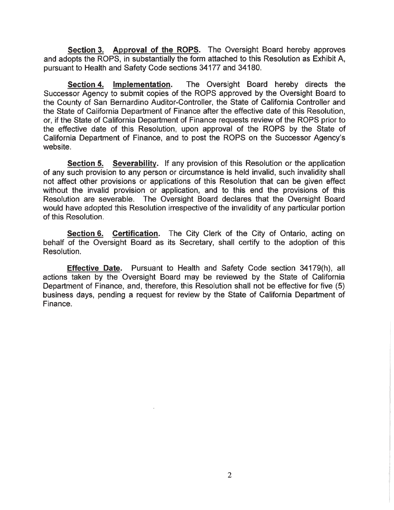Section 3. Approval of the ROPS. The Oversight Board hereby approves and adopts the ROPS, in substantially the form attached to this Resolution as Exhibit A. pursuant to Health and Safety Code sections 34177 and 34180.

The Oversight Board hereby directs the Section 4. Implementation. Successor Agency to submit copies of the ROPS approved by the Oversight Board to the County of San Bernardino Auditor-Controller, the State of California Controller and the State of California Department of Finance after the effective date of this Resolution. or, if the State of California Department of Finance requests review of the ROPS prior to the effective date of this Resolution, upon approval of the ROPS by the State of California Department of Finance, and to post the ROPS on the Successor Agency's website.

Section 5. Severability. If any provision of this Resolution or the application of any such provision to any person or circumstance is held invalid, such invalidity shall not affect other provisions or applications of this Resolution that can be given effect without the invalid provision or application, and to this end the provisions of this Resolution are severable. The Oversight Board declares that the Oversight Board would have adopted this Resolution irrespective of the invalidity of any particular portion of this Resolution.

Section 6. Certification. The City Clerk of the City of Ontario, acting on behalf of the Oversight Board as its Secretary, shall certify to the adoption of this Resolution.

Effective Date. Pursuant to Health and Safety Code section 34179(h), all actions taken by the Oversight Board may be reviewed by the State of California Department of Finance, and, therefore, this Resolution shall not be effective for five (5) business days, pending a request for review by the State of California Department of Finance.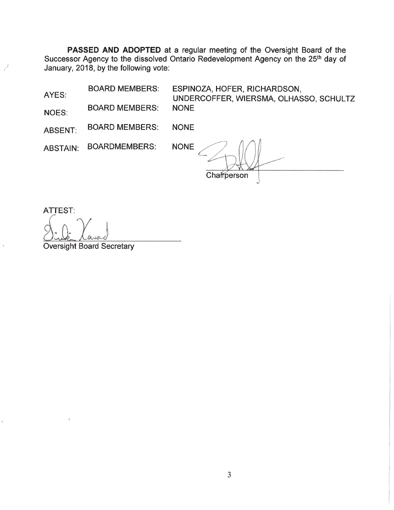PASSED AND ADOPTED at a regular meeting of the Oversight Board of the Successor Agency to the dissolved Ontario Redevelopment Agency on the 25<sup>th</sup> day of January, 2018, by the following vote:

**BOARD MEMBERS:** 

AYES:

NOES:

کې<br>د

ś

ESPINOZA, HOFER, RICHARDSON, UNDERCOFFER, WIERSMA, OLHASSO, SCHULTZ **NONE** 

**BOARD MEMBERS: NONE ABSENT:** 

**BOARD MEMBERS:** 

**BOARDMEMBERS: ABSTAIN:** 

**NONE** 

Chafrperson

**ATTEST:** 

**Oversight Board Secretary**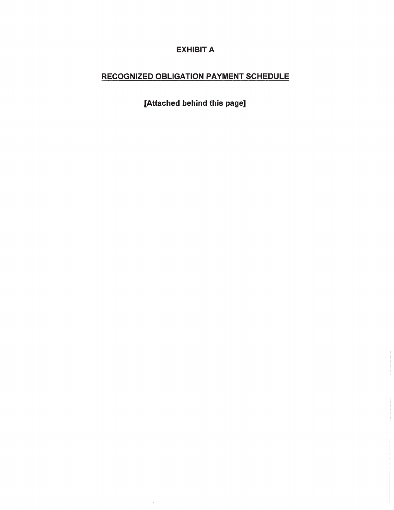# **EXHIBIT A**

# **RECOGNIZED OBLIGATION PAYMENT SCHEDULE**

[Attached behind this page]

 $\mathcal{L}$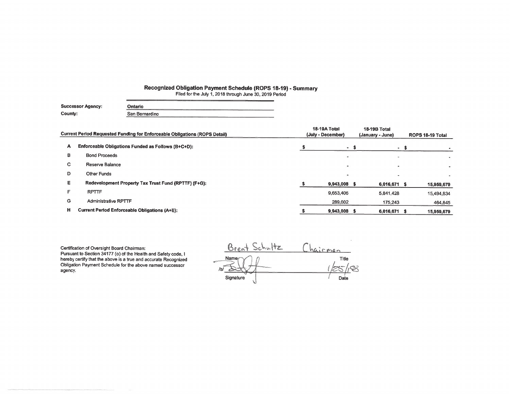# Recognized Obligation Payment Schedule (ROPS 18-19) - Summary<br>Filed for the July 1, 2018 through June 30, 2019 Period

| Successor Agency: | _______<br>Ontario |
|-------------------|--------------------|
| County:           | San Bernardino     |

|    | Current Period Requested Funding for Enforceable Obligations (ROPS Detail) | 18-19A Total<br>(July - December) | 18-19B Total<br>(January - June) | ROPS 18-19 Total |            |  |
|----|----------------------------------------------------------------------------|-----------------------------------|----------------------------------|------------------|------------|--|
| А  | Enforceable Obligations Funded as Follows (B+C+D):                         | - \$                              |                                  | - \$             |            |  |
| в  | <b>Bond Proceeds</b>                                                       | -                                 |                                  |                  |            |  |
| C. | Reserve Balance                                                            |                                   |                                  |                  |            |  |
| D  | <b>Other Funds</b>                                                         |                                   |                                  |                  |            |  |
| Е. | Redevelopment Property Tax Trust Fund (RPTTF) (F+G):                       | 9,943,008 \$                      | 6,016,671 \$                     |                  | 15,959,679 |  |
| Е  | <b>RPTTF</b>                                                               | 9,653,406                         | 5.841.428                        |                  | 15,494,834 |  |
| G  | <b>Administrative RPTTF</b>                                                | 289,602                           | 175,243                          |                  | 464,845    |  |
| н  | <b>Current Period Enforceable Obligations (A+E):</b>                       | 9,943,008                         | 6,016,671                        | - S              | 15,959,679 |  |

Certification of Oversight Board Chairman: Pursuant to Section 34177 (o) of the Health and Safety code, I<br>hereby certify that the above is a true and accurate Recognized Obligation Payment Schedule for the above named successor agency.

 $\frac{Chairman}{\frac{Title}{100}}$ Brent Schultz  $Name<sub>f</sub>$  $\mathfrak{D}$  $/s/$ Signature Date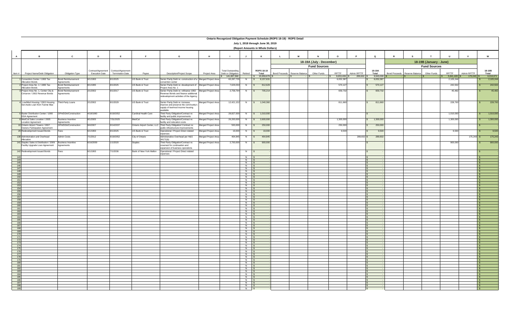|                                                                    | Ontario Recognized Obligation Payment Schedule (ROPS 18-19) - ROPS Detail  |                                                |                                             |                                               |                         |                                                                                                   |                     |                                                |                          |                                          |                                         |                          |                        |                |                        |                                         |                         |                        |              |                           |
|--------------------------------------------------------------------|----------------------------------------------------------------------------|------------------------------------------------|---------------------------------------------|-----------------------------------------------|-------------------------|---------------------------------------------------------------------------------------------------|---------------------|------------------------------------------------|--------------------------|------------------------------------------|-----------------------------------------|--------------------------|------------------------|----------------|------------------------|-----------------------------------------|-------------------------|------------------------|--------------|---------------------------|
|                                                                    |                                                                            |                                                |                                             |                                               |                         |                                                                                                   |                     |                                                |                          | July 1, 2018 through June 30, 2019       |                                         |                          |                        |                |                        |                                         |                         |                        |              |                           |
|                                                                    |                                                                            |                                                |                                             |                                               |                         |                                                                                                   |                     |                                                |                          | (Report Amounts in Whole Dollars)        |                                         |                          |                        |                |                        |                                         |                         |                        |              |                           |
|                                                                    |                                                                            |                                                |                                             |                                               |                         |                                                                                                   |                     |                                                |                          |                                          |                                         |                          |                        |                |                        |                                         |                         |                        |              |                           |
| $\overline{A}$                                                     | B                                                                          | $\mathbf{c}$                                   | D                                           | E                                             | F                       | G                                                                                                 | н                   |                                                | $\mathbf{J}$             | к                                        | $\mathbf L$<br>M                        |                          | $\Omega$               | $\blacksquare$ | $\mathbf Q$            | <b>s</b>                                |                         | IJ                     | $\mathbf v$  | w                         |
|                                                                    |                                                                            |                                                |                                             |                                               |                         |                                                                                                   |                     |                                                |                          |                                          |                                         | 18-19A (July - December) |                        |                |                        |                                         | 18-19B (January - June) |                        |              |                           |
|                                                                    |                                                                            |                                                |                                             |                                               |                         |                                                                                                   |                     |                                                |                          | ROPS 18-19                               |                                         | <b>Fund Sources</b>      |                        |                |                        |                                         | <b>Fund Sources</b>     |                        |              |                           |
| Item #                                                             | Project Name/Debt Obligation                                               | Obligation Type                                | Contract/Agreement<br><b>Execution Date</b> | Contract/Agreement<br><b>Termination Date</b> | Payee                   | Description/Project Scope                                                                         | Project Area        | <b>Total Outstanding</b><br>Debt or Obligation | Retired                  | Total                                    | <b>Bond Proceeds</b><br>Reserve Balance | Other Funds              | <b>RPTTF</b>           | Admin RPTTF    | 18-19A<br>Total        | <b>Bond Proceeds</b><br>Reserve Balance | Other Funds             | RPTTF                  | Admin RPTTF  | 18-19B<br>Total           |
|                                                                    | 1 Convention Center / 1993 Tax                                             | <b>Bond Reimbursement</b>                      | 6/1/1993                                    | 8/1/2025                                      | US Bank & Trust         | Senior Parity Debt re: construction of a Merged Project Area                                      |                     | 141,807,560<br>60,287,735                      | N                        | 15,959,679 \$<br>8,157,631<br>$\epsilon$ |                                         |                          | 9,653,406<br>6,052,387 | 289,602        | 9,943,008<br>6,052,387 |                                         |                         | 5,841,428<br>2,105,244 | 175,243      | 6,016,671<br>2,105,244    |
|                                                                    | <b>Allocation Bonds</b>                                                    | Agreements                                     |                                             |                                               |                         | convention center                                                                                 |                     |                                                |                          |                                          |                                         |                          |                        |                |                        |                                         |                         |                        |              |                           |
|                                                                    | 2 Project Area No. 1 / 1995 Tax<br><b>Allocation Bonds</b>                 | <b>Bond Reimbursement</b><br>Agreements        | 8/1/1995                                    | 8/1/2025                                      | US Bank & Trust         | Senior Parity Debt re: development of<br>Project Area No. 1                                       | Merged Project Area | 7,629,034                                      | N                        | \$ 812,629                               |                                         |                          | 570,127                |                | 570,127                |                                         |                         | 242,502                |              | 242,502<br>s.             |
|                                                                    | 3 Project Area No. 1, Center City &<br>Cimarron / 2002 Revenue Bonds       | <b>Bond Reimbursement</b><br>Agreements        | 2/1/2002                                    | 8/1/2017                                      | US Bank & Trust         | Senior Parity Debt re: refinance 1992 Merged Project Area<br>Revenue Bonds and finance additional |                     | 2,758,794                                      | N                        | 705,214<br>$\mathsf{S}$                  |                                         |                          | 659,732                |                | 659,732                |                                         |                         | 45,482                 |              | 45,482<br>s.              |
|                                                                    |                                                                            |                                                |                                             |                                               |                         | edevelopment activities of the Agency                                                             |                     |                                                |                          |                                          |                                         |                          |                        |                |                        |                                         |                         |                        |              |                           |
|                                                                    | 4 Low/Mod Housing / 2002 Housing                                           | Third-Party Loans                              | 2/1/2002                                    | 8/1/2029                                      | US Bank & Trust         | Senior Parity Debt re: increase,                                                                  | Merged Project Area | 12,421,152                                     | N                        | \$ 1,040,360                             |                                         |                          | 811,660                | $\mathbf{s}$   | 811,660                |                                         |                         | 228,700                |              | 228,700<br>$\mathbf{s}$   |
|                                                                    | Set-Aside Loan from Fannie Mae                                             |                                                |                                             |                                               |                         | improve and preserve the community's<br>supply of low/mod income housing                          |                     |                                                |                          |                                          |                                         |                          |                        |                |                        |                                         |                         |                        |              |                           |
|                                                                    |                                                                            |                                                |                                             |                                               |                         | available                                                                                         |                     |                                                |                          |                                          |                                         |                          |                        |                |                        |                                         |                         |                        |              |                           |
|                                                                    | 6 Baxter Distribution Center / 1990<br>DDA Agreement                       | OPA/DDA/Construction                           | 4/18/1990                                   | 6/19/2052                                     | Cardinal Health Care    | Third Party Obligation/Contract re:<br>facility and public improvements                           | Merged Project Area | 28,827,000                                     | N                        | \$ 1,010,000                             |                                         |                          |                        |                |                        |                                         |                         | 1,010,000              |              | 1,010,000<br>$\mathbf{s}$ |
|                                                                    | 8 MedCal Sales Location / 2005<br><b>Location Agreement</b>                | <b>Business Incentive</b><br><b>Agreements</b> | 8/1/2005                                    | 7/31/2025                                     | MedCal                  | Third Party Obligation/Contract re:<br>facility and relocation costs                              | Merged Project Area | 26,200,000                                     | N                        | 2,600,000                                |                                         |                          | 1,300,000              |                | 1,300,000              |                                         |                         | 1,300,000              |              | 1,300,000                 |
|                                                                    | 10 Ontario Airport Towers / 2007                                           | OPA/DDA/Construction                           | 9/4/2007                                    | 9/14/2037                                     |                         | Ontario Airport Center, LLC Third Party Obligation/ Contract re:                                  | Merged Project Area | 500,000                                        | N                        | 250,000                                  |                                         |                          | 250,000                |                | 250,000                |                                         |                         |                        |              |                           |
|                                                                    | Owners Participation Agreement<br>29 Redevelopment Issued Bonds            | Fees                                           | 6/1/1993                                    | 8/1/2025                                      | US Bank & Trust         | public infrastructure improvements<br>Operational / Project Direct related                        | Merged Project Area | 19,000                                         | N                        | 19,000<br>$\mathbf{s}$                   |                                         |                          | 9.500                  |                | 9,500                  |                                         |                         | 9,500                  |              | 9,500<br>$\mathbf{s}$     |
|                                                                    | 138 Administration and Overhead                                            | <b>Admin Costs</b>                             | 7/1/2012                                    | 6/19/2052                                     | City of Ontario         | expenses<br>Administrative Overhead per H&S                                                       | Merged Project Area | 464,845                                        | N                        | 464,845<br>$\mathbf{s}$                  |                                         |                          |                        | 289,602 \$     | 289,602                |                                         |                         |                        | $175,243$ \$ | 175,243                   |
|                                                                    | Allocation                                                                 |                                                |                                             |                                               |                         | 34171(b)                                                                                          |                     |                                                |                          |                                          |                                         |                          |                        |                |                        |                                         |                         |                        |              |                           |
|                                                                    | 141 Staples Sales & Distribution / 2009<br>Facility Upgrade Loan Agreement | <b>Business Incentive</b><br>Agreements        | 6/16/2009                                   | 1/1/2020                                      | <b>Staples</b>          | Third Party Obligation/Contract re:<br>covenant for continuation and                              | Merged Project Area | 2,700,000                                      | N                        | 900,000<br>$\mathbf{s}$                  |                                         |                          |                        |                |                        |                                         |                         | 900,000                |              | 900,000<br>$\mathbf{s}$   |
|                                                                    | 142 Redevelopment Issued Bonds                                             | Fees                                           | 6/1/1993                                    | /1/2036                                       | Bank of New York Mellon | expansion of business operations<br>Operational / Project Direct related                          |                     |                                                |                          |                                          |                                         |                          |                        |                |                        |                                         |                         |                        |              |                           |
|                                                                    |                                                                            |                                                |                                             |                                               |                         | expenses                                                                                          |                     |                                                | N                        |                                          |                                         |                          |                        |                |                        |                                         |                         |                        |              |                           |
|                                                                    | 143                                                                        |                                                |                                             |                                               |                         |                                                                                                   |                     |                                                | $N$ \$<br>N \$           |                                          |                                         |                          |                        |                |                        |                                         |                         |                        |              |                           |
|                                                                    | $\frac{144}{145}$<br>146                                                   |                                                |                                             |                                               |                         |                                                                                                   |                     |                                                | $\overline{N}$           |                                          |                                         |                          |                        |                |                        |                                         |                         |                        |              |                           |
|                                                                    | 147                                                                        |                                                |                                             |                                               |                         |                                                                                                   |                     |                                                | $N$ \$<br>N \$           |                                          |                                         |                          |                        |                |                        |                                         |                         |                        |              |                           |
|                                                                    | $\frac{148}{149}$ $\frac{149}{150}$                                        |                                                |                                             |                                               |                         |                                                                                                   |                     |                                                | N                        |                                          |                                         |                          |                        |                |                        |                                         |                         |                        |              |                           |
|                                                                    |                                                                            |                                                |                                             |                                               |                         |                                                                                                   |                     |                                                | $N$ \$<br>$N$ \$         |                                          |                                         |                          |                        |                |                        |                                         |                         |                        |              |                           |
|                                                                    | $\begin{array}{r} 151 \\ \hline 152 \\ \hline 153 \end{array}$             |                                                |                                             |                                               |                         |                                                                                                   |                     |                                                | $\overline{N}$           |                                          |                                         |                          |                        |                |                        |                                         |                         |                        |              |                           |
|                                                                    |                                                                            |                                                |                                             |                                               |                         |                                                                                                   |                     |                                                | $N$ \$<br>$N$ \$         |                                          |                                         |                          |                        |                |                        |                                         |                         |                        |              |                           |
|                                                                    | $\frac{154}{155}$                                                          |                                                |                                             |                                               |                         |                                                                                                   |                     |                                                | $\overline{z}$           |                                          |                                         |                          |                        |                |                        |                                         |                         |                        |              |                           |
|                                                                    |                                                                            |                                                |                                             |                                               |                         |                                                                                                   |                     |                                                | $N$ \$<br>$N$ 4          |                                          |                                         |                          |                        |                |                        |                                         |                         |                        |              |                           |
|                                                                    | $\begin{array}{r} \hline 157 \\ 158 \\ 159 \end{array}$                    |                                                |                                             |                                               |                         |                                                                                                   |                     |                                                | N                        |                                          |                                         |                          |                        |                |                        |                                         |                         |                        |              |                           |
|                                                                    |                                                                            |                                                |                                             |                                               |                         |                                                                                                   |                     |                                                | $\overline{N}$<br>$N$ \$ |                                          |                                         |                          |                        |                |                        |                                         |                         |                        |              |                           |
|                                                                    | $\frac{160}{161}$                                                          |                                                |                                             |                                               |                         |                                                                                                   |                     |                                                | $\overline{z}$           |                                          |                                         |                          |                        |                |                        |                                         |                         |                        |              |                           |
|                                                                    |                                                                            |                                                |                                             |                                               |                         |                                                                                                   |                     |                                                | $\overline{N}$<br>$N$ \$ |                                          |                                         |                          |                        |                |                        |                                         |                         |                        |              |                           |
|                                                                    |                                                                            |                                                |                                             |                                               |                         |                                                                                                   |                     |                                                | N                        |                                          |                                         |                          |                        |                |                        |                                         |                         |                        |              |                           |
| $\begin{array}{r}\n163 \\ \hline\n164 \\ \hline\n165\n\end{array}$ |                                                                            |                                                |                                             |                                               |                         |                                                                                                   |                     |                                                | N<br>$N$ \$              |                                          |                                         |                          |                        |                |                        |                                         |                         |                        |              |                           |
|                                                                    | 166                                                                        |                                                |                                             |                                               |                         |                                                                                                   |                     |                                                | N \$                     |                                          |                                         |                          |                        |                |                        |                                         |                         |                        |              |                           |
|                                                                    | $\frac{167}{168}$                                                          |                                                |                                             |                                               |                         |                                                                                                   |                     |                                                | N                        |                                          |                                         |                          |                        |                |                        |                                         |                         |                        |              |                           |
|                                                                    | 169                                                                        |                                                |                                             |                                               |                         |                                                                                                   |                     |                                                | $N$ \$<br>N \$           |                                          |                                         |                          |                        |                |                        |                                         |                         |                        |              |                           |
|                                                                    | $\frac{170}{171}$                                                          |                                                |                                             |                                               |                         |                                                                                                   |                     |                                                | $N$ \$                   |                                          |                                         |                          |                        |                |                        |                                         |                         |                        |              |                           |
|                                                                    | 172                                                                        |                                                |                                             |                                               |                         |                                                                                                   |                     |                                                | $N$ \$<br>$N$ \$         |                                          |                                         |                          |                        | $\sim$         |                        |                                         |                         |                        |              | $\sim$                    |
|                                                                    |                                                                            |                                                |                                             |                                               |                         |                                                                                                   |                     |                                                | $N$ \$                   |                                          |                                         |                          |                        |                |                        |                                         |                         |                        |              |                           |
|                                                                    | $\frac{173}{174}$                                                          |                                                |                                             |                                               |                         |                                                                                                   |                     |                                                | $N$ \$                   |                                          |                                         |                          |                        | $\mathbf{s}$   |                        |                                         |                         |                        |              | $\sim$                    |
|                                                                    | 175                                                                        |                                                |                                             |                                               |                         |                                                                                                   |                     |                                                | $N$ \$<br>$N$ \$         |                                          |                                         |                          |                        | $\mathsf{s}$   |                        |                                         |                         |                        |              |                           |
|                                                                    | $\frac{176}{177}$                                                          |                                                |                                             |                                               |                         |                                                                                                   |                     |                                                | $N$ \$                   |                                          |                                         |                          |                        |                |                        |                                         |                         |                        |              | $\sim$                    |
|                                                                    | 178<br>179                                                                 |                                                |                                             |                                               |                         |                                                                                                   |                     |                                                | $N$ \$<br>$N$ \$         |                                          |                                         |                          |                        | l S            |                        |                                         |                         |                        |              |                           |
|                                                                    | 180                                                                        |                                                |                                             |                                               |                         |                                                                                                   |                     |                                                | $N$ \$                   |                                          |                                         |                          |                        |                |                        |                                         |                         |                        |              | l \$                      |
|                                                                    | 181                                                                        |                                                |                                             |                                               |                         |                                                                                                   |                     |                                                | $N$ \$                   |                                          |                                         |                          |                        | IS.            |                        |                                         |                         |                        |              | l s                       |
|                                                                    | 182                                                                        |                                                |                                             |                                               |                         |                                                                                                   |                     |                                                | $N$ \$<br>$N$ \$         |                                          |                                         |                          |                        | $\sim$         |                        |                                         |                         |                        |              | $\mathbf{s}$              |
|                                                                    | $\frac{183}{184}$                                                          |                                                |                                             |                                               |                         |                                                                                                   |                     |                                                | $N$ \$                   |                                          |                                         |                          |                        |                |                        |                                         |                         |                        |              | $\mathbf{s}$              |
|                                                                    | 185<br>186                                                                 |                                                |                                             |                                               |                         |                                                                                                   |                     |                                                | N \$<br>$\overline{N}$   |                                          |                                         |                          |                        |                |                        |                                         |                         |                        |              | - \$                      |
|                                                                    | 187                                                                        |                                                |                                             |                                               |                         |                                                                                                   |                     |                                                | $N$ \$                   |                                          |                                         |                          |                        | $\sim$         |                        |                                         |                         |                        |              | l s                       |
|                                                                    | 188                                                                        |                                                |                                             |                                               |                         |                                                                                                   |                     |                                                | $N$ \$                   |                                          |                                         |                          |                        |                |                        |                                         |                         |                        |              | - \$                      |
|                                                                    | 189                                                                        |                                                |                                             |                                               |                         |                                                                                                   |                     |                                                | $N$ \$                   |                                          |                                         |                          |                        | l S            |                        |                                         |                         |                        |              |                           |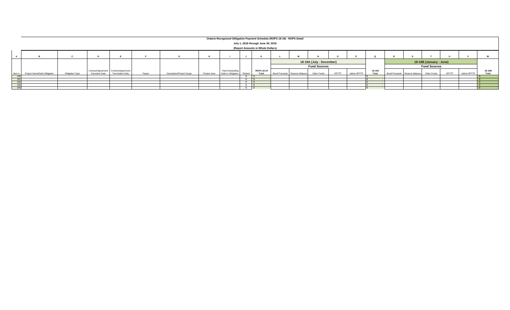|                 | Ontario Recognized Obligation Payment Schedule (ROPS 18-19) - ROPS Detail |                 |                       |                                       |       |                                  |              |                          |         |                   |                          |                               |             |       |                     |        |                         |                               |             |       |             |        |
|-----------------|---------------------------------------------------------------------------|-----------------|-----------------------|---------------------------------------|-------|----------------------------------|--------------|--------------------------|---------|-------------------|--------------------------|-------------------------------|-------------|-------|---------------------|--------|-------------------------|-------------------------------|-------------|-------|-------------|--------|
|                 | July 1, 2018 through June 30, 2019                                        |                 |                       |                                       |       |                                  |              |                          |         |                   |                          |                               |             |       |                     |        |                         |                               |             |       |             |        |
|                 | (Report Amounts in Whole Dollars)                                         |                 |                       |                                       |       |                                  |              |                          |         |                   |                          |                               |             |       |                     |        |                         |                               |             |       |             |        |
|                 |                                                                           |                 |                       |                                       |       |                                  |              |                          |         |                   |                          |                               |             |       |                     |        |                         |                               |             |       |             |        |
|                 |                                                                           |                 |                       |                                       |       |                                  |              |                          |         |                   |                          |                               |             |       |                     |        |                         |                               |             |       |             |        |
|                 |                                                                           |                 |                       |                                       |       |                                  |              |                          |         |                   | 18-19A (July - December) |                               |             |       |                     |        | 18-19B (January - June) |                               |             |       |             |        |
|                 |                                                                           |                 |                       |                                       |       |                                  |              |                          |         |                   |                          | <b>Fund Sources</b>           |             |       | <b>Fund Sources</b> |        |                         |                               |             |       |             |        |
|                 |                                                                           |                 |                       | Contract/Agreement Contract/Agreement |       |                                  |              | <b>Total Outstanding</b> |         | <b>ROPS 18-19</b> |                          |                               |             |       |                     | 18-19A |                         |                               |             |       |             | 18-19B |
| Item #          | Project Name/Debt Obligation                                              | Obligation Type | <b>Execution Date</b> | <b>Termination Date</b>               | Payee | <b>Description/Project Scope</b> | Project Area | Debt or Obligation       | Retired | Total             |                          | Bond Proceeds Reserve Balance | Other Funds | RPTTF | Admin RPTTF         | Total  |                         | Bond Proceeds Reserve Balance | Other Funds | RPTTF | Admin RPTTF | Total  |
| 190             |                                                                           |                 |                       |                                       |       |                                  |              |                          |         |                   |                          |                               |             |       |                     |        |                         |                               |             |       |             |        |
| 19'             |                                                                           |                 |                       |                                       |       |                                  |              |                          |         |                   |                          |                               |             |       |                     |        |                         |                               |             |       |             |        |
| 192             |                                                                           |                 |                       |                                       |       |                                  |              |                          |         |                   |                          |                               |             |       |                     |        |                         |                               |             |       |             |        |
| 19 <sub>1</sub> |                                                                           |                 |                       |                                       |       |                                  |              |                          |         |                   |                          |                               |             |       |                     |        |                         |                               |             |       |             |        |
| 194             |                                                                           |                 |                       |                                       |       |                                  |              |                          |         |                   |                          |                               |             |       |                     |        |                         |                               |             |       |             |        |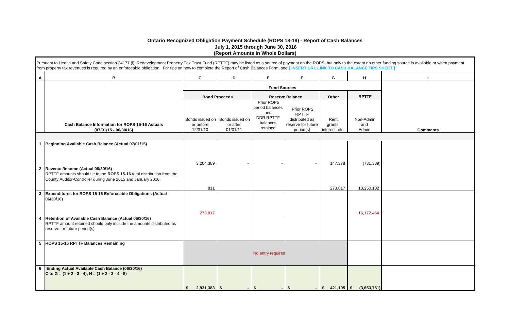#### **Ontario Recognized Obligation Payment Schedule (ROPS 18-19) - Report of Cash Balances July 1, 2015 through June 30, 2016 (Report Amounts in Whole Dollars)**

|              | Pursuant to Health and Safety Code section 34177 (I), Redevelopment Property Tax Trust Fund (RPTTF) may be listed as a source of payment on the ROPS, but only to the extent no other funding source is available or when paym<br>from property tax revenues is required by an enforceable obligation. For tips on how to complete the Report of Cash Balances Form, see [INSERT URL LINK TO CASH BALANCE TIPS SHEET] |                      |                                             |                                                                                  |                                                                    |                  |                  |                 |
|--------------|-----------------------------------------------------------------------------------------------------------------------------------------------------------------------------------------------------------------------------------------------------------------------------------------------------------------------------------------------------------------------------------------------------------------------|----------------------|---------------------------------------------|----------------------------------------------------------------------------------|--------------------------------------------------------------------|------------------|------------------|-----------------|
| А            | в                                                                                                                                                                                                                                                                                                                                                                                                                     | C                    | D                                           | Е                                                                                | F.                                                                 | G                | H                |                 |
|              |                                                                                                                                                                                                                                                                                                                                                                                                                       |                      |                                             |                                                                                  |                                                                    |                  |                  |                 |
|              |                                                                                                                                                                                                                                                                                                                                                                                                                       |                      | <b>Bond Proceeds</b>                        |                                                                                  | <b>Reserve Balance</b>                                             | Other            | <b>RPTTF</b>     |                 |
|              | Cash Balance Information for ROPS 15-16 Actuals                                                                                                                                                                                                                                                                                                                                                                       | or before            | Bonds issued on Bonds issued on<br>or after | Prior ROPS<br>period balances<br>and<br><b>DDR RPTTF</b><br>balances<br>retained | Prior ROPS<br><b>RPTTF</b><br>distributed as<br>reserve for future | Rent,<br>grants, | Non-Admin<br>and |                 |
|              | $(07/01/15 - 06/30/16)$                                                                                                                                                                                                                                                                                                                                                                                               | 12/31/10             | 01/01/11                                    |                                                                                  | period(s)                                                          | interest, etc.   | Admin            | <b>Comments</b> |
|              | 1 Beginning Available Cash Balance (Actual 07/01/15)                                                                                                                                                                                                                                                                                                                                                                  |                      |                                             |                                                                                  |                                                                    |                  |                  |                 |
|              |                                                                                                                                                                                                                                                                                                                                                                                                                       | 3,204,389            |                                             |                                                                                  |                                                                    | 147,378          | (731, 389)       |                 |
| $\mathbf{2}$ | Revenue/Income (Actual 06/30/16)<br>RPTTF amounts should tie to the ROPS 15-16 total distribution from the<br>County Auditor-Controller during June 2015 and January 2016.                                                                                                                                                                                                                                            |                      |                                             |                                                                                  |                                                                    |                  |                  |                 |
|              |                                                                                                                                                                                                                                                                                                                                                                                                                       | 811                  |                                             |                                                                                  |                                                                    | 273,817          | 13,250,102       |                 |
| 3            | Expenditures for ROPS 15-16 Enforceable Obligations (Actual<br>06/30/16)                                                                                                                                                                                                                                                                                                                                              |                      |                                             |                                                                                  |                                                                    |                  |                  |                 |
|              |                                                                                                                                                                                                                                                                                                                                                                                                                       | 273,817              |                                             |                                                                                  |                                                                    |                  | 16,172,464       |                 |
| 4            | Retention of Available Cash Balance (Actual 06/30/16)<br>RPTTF amount retained should only include the amounts distributed as<br>reserve for future period(s)                                                                                                                                                                                                                                                         |                      |                                             |                                                                                  |                                                                    |                  |                  |                 |
|              | 5 ROPS 15-16 RPTTF Balances Remaining                                                                                                                                                                                                                                                                                                                                                                                 |                      |                                             |                                                                                  |                                                                    |                  |                  |                 |
|              |                                                                                                                                                                                                                                                                                                                                                                                                                       |                      |                                             | No entry required                                                                |                                                                    |                  |                  |                 |
| 6            | <b>Ending Actual Available Cash Balance (06/30/16)</b><br>C to G = $(1 + 2 - 3 - 4)$ , H = $(1 + 2 - 3 - 4 - 5)$                                                                                                                                                                                                                                                                                                      |                      |                                             |                                                                                  |                                                                    |                  |                  |                 |
|              |                                                                                                                                                                                                                                                                                                                                                                                                                       | $2,931,383$ \$<br>\$ |                                             | - 56                                                                             | Ŝ.                                                                 |                  | (3,653,751)      |                 |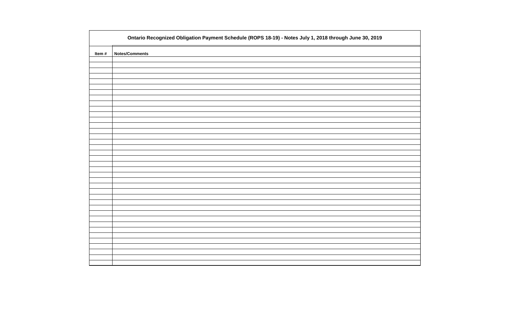|       | Ontario Recognized Obligation Payment Schedule (ROPS 18-19) - Notes July 1, 2018 through June 30, 2019 |
|-------|--------------------------------------------------------------------------------------------------------|
| Item# | <b>Notes/Comments</b>                                                                                  |
|       |                                                                                                        |
|       |                                                                                                        |
|       |                                                                                                        |
|       |                                                                                                        |
|       |                                                                                                        |
|       |                                                                                                        |
|       |                                                                                                        |
|       |                                                                                                        |
|       |                                                                                                        |
|       |                                                                                                        |
|       |                                                                                                        |
|       |                                                                                                        |
|       |                                                                                                        |
|       |                                                                                                        |
|       |                                                                                                        |
|       |                                                                                                        |
|       |                                                                                                        |
|       |                                                                                                        |
|       |                                                                                                        |
|       |                                                                                                        |
|       |                                                                                                        |
|       |                                                                                                        |
|       |                                                                                                        |
|       |                                                                                                        |
|       |                                                                                                        |
|       |                                                                                                        |
|       |                                                                                                        |
|       |                                                                                                        |
|       |                                                                                                        |
|       |                                                                                                        |
|       |                                                                                                        |
|       |                                                                                                        |

| 019 |
|-----|
|     |
|     |
|     |
|     |
|     |
|     |
|     |
|     |
|     |
|     |
|     |
|     |
|     |
|     |
|     |
|     |
|     |
|     |
|     |
|     |
|     |
|     |
|     |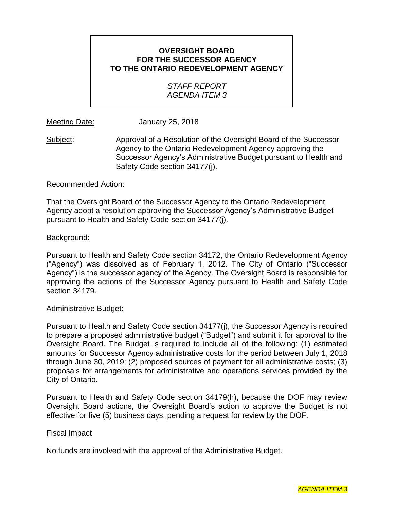## **OVERSIGHT BOARD FOR THE SUCCESSOR AGENCY [TO THE ONTARIO REDEVELOPMENT AGENCY](#page--1-0)**

## *STAFF REPORT AGENDA ITEM 3*

Meeting Date: January 25, 2018

Subject: Approval of a Resolution of the Oversight Board of the Successor Agency to the Ontario Redevelopment Agency approving the Successor Agency's Administrative Budget pursuant to Health and Safety Code section 34177(j).

#### Recommended Action:

That the Oversight Board of the Successor Agency to the Ontario Redevelopment Agency adopt a resolution approving the Successor Agency's Administrative Budget pursuant to Health and Safety Code section 34177(j).

#### Background:

Pursuant to Health and Safety Code section 34172, the Ontario Redevelopment Agency ("Agency") was dissolved as of February 1, 2012. The City of Ontario ("Successor Agency") is the successor agency of the Agency. The Oversight Board is responsible for approving the actions of the Successor Agency pursuant to Health and Safety Code section 34179.

#### Administrative Budget:

Pursuant to Health and Safety Code section 34177(j), the Successor Agency is required to prepare a proposed administrative budget ("Budget") and submit it for approval to the Oversight Board. The Budget is required to include all of the following: (1) estimated amounts for Successor Agency administrative costs for the period between July 1, 2018 through June 30, 2019; (2) proposed sources of payment for all administrative costs; (3) proposals for arrangements for administrative and operations services provided by the City of Ontario.

Pursuant to Health and Safety Code section 34179(h), because the DOF may review Oversight Board actions, the Oversight Board's action to approve the Budget is not effective for five (5) business days, pending a request for review by the DOF.

#### Fiscal Impact

No funds are involved with the approval of the Administrative Budget.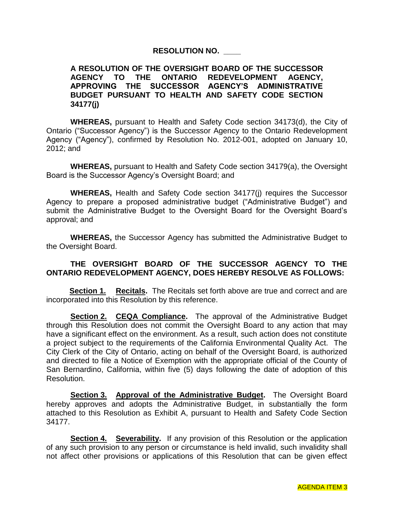## **RESOLUTION NO. \_\_\_\_**

#### **A RESOLUTION OF THE OVERSIGHT BOARD OF THE SUCCESSOR AGENCY TO THE ONTARIO REDEVELOPMENT AGENCY, APPROVING THE SUCCESSOR AGENCY'S ADMINISTRATIVE BUDGET PURSUANT TO HEALTH AND SAFETY CODE SECTION 34177(j)**

**WHEREAS,** pursuant to Health and Safety Code section 34173(d), the City of Ontario ("Successor Agency") is the Successor Agency to the Ontario Redevelopment Agency ("Agency"), confirmed by Resolution No. 2012-001, adopted on January 10, 2012; and

**WHEREAS,** pursuant to Health and Safety Code section 34179(a), the Oversight Board is the Successor Agency's Oversight Board; and

**WHEREAS,** Health and Safety Code section 34177(j) requires the Successor Agency to prepare a proposed administrative budget ("Administrative Budget") and submit the Administrative Budget to the Oversight Board for the Oversight Board's approval; and

**WHEREAS,** the Successor Agency has submitted the Administrative Budget to the Oversight Board.

## **THE OVERSIGHT BOARD OF THE SUCCESSOR AGENCY TO THE ONTARIO REDEVELOPMENT AGENCY, DOES HEREBY RESOLVE AS FOLLOWS:**

**Section 1. Recitals.** The Recitals set forth above are true and correct and are incorporated into this Resolution by this reference.

**Section 2. CEQA Compliance.** The approval of the Administrative Budget through this Resolution does not commit the Oversight Board to any action that may have a significant effect on the environment. As a result, such action does not constitute a project subject to the requirements of the California Environmental Quality Act. The City Clerk of the City of Ontario, acting on behalf of the Oversight Board, is authorized and directed to file a Notice of Exemption with the appropriate official of the County of San Bernardino, California, within five (5) days following the date of adoption of this Resolution.

**Section 3. Approval of the Administrative Budget.** The Oversight Board hereby approves and adopts the Administrative Budget, in substantially the form attached to this Resolution as Exhibit A, pursuant to Health and Safety Code Section 34177.

**Section 4. Severability.** If any provision of this Resolution or the application of any such provision to any person or circumstance is held invalid, such invalidity shall not affect other provisions or applications of this Resolution that can be given effect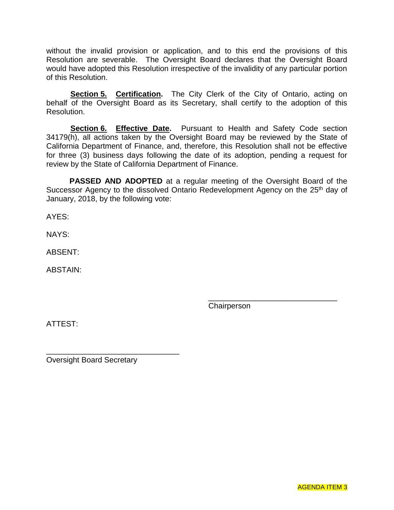without the invalid provision or application, and to this end the provisions of this Resolution are severable. The Oversight Board declares that the Oversight Board would have adopted this Resolution irrespective of the invalidity of any particular portion of this Resolution.

**Section 5. Certification.** The City Clerk of the City of Ontario, acting on behalf of the Oversight Board as its Secretary, shall certify to the adoption of this Resolution.

**Section 6. Effective Date.** Pursuant to Health and Safety Code section 34179(h), all actions taken by the Oversight Board may be reviewed by the State of California Department of Finance, and, therefore, this Resolution shall not be effective for three (3) business days following the date of its adoption, pending a request for review by the State of California Department of Finance.

**PASSED AND ADOPTED** at a regular meeting of the Oversight Board of the Successor Agency to the dissolved Ontario Redevelopment Agency on the 25<sup>th</sup> day of January, 2018, by the following vote:

AYES:

NAYS:

ABSENT:

ABSTAIN:

**Chairperson** 

\_\_\_\_\_\_\_\_\_\_\_\_\_\_\_\_\_\_\_\_\_\_\_\_\_\_\_\_\_\_

ATTEST:

Oversight Board Secretary

\_\_\_\_\_\_\_\_\_\_\_\_\_\_\_\_\_\_\_\_\_\_\_\_\_\_\_\_\_\_\_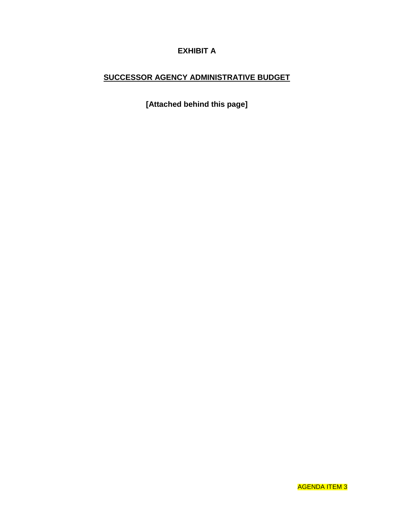# **EXHIBIT A**

## **SUCCESSOR AGENCY ADMINISTRATIVE BUDGET**

**[Attached behind this page]**